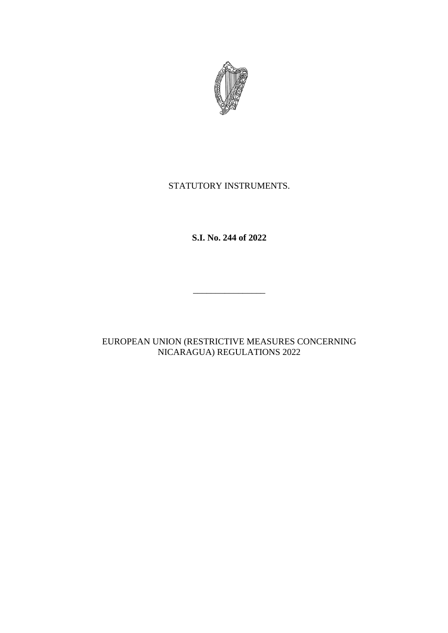

# STATUTORY INSTRUMENTS.

**S.I. No. 244 of 2022**

 $\frac{1}{\sqrt{2}}$  ,  $\frac{1}{\sqrt{2}}$  ,  $\frac{1}{\sqrt{2}}$  ,  $\frac{1}{\sqrt{2}}$  ,  $\frac{1}{\sqrt{2}}$  ,  $\frac{1}{\sqrt{2}}$  ,  $\frac{1}{\sqrt{2}}$  ,  $\frac{1}{\sqrt{2}}$  ,  $\frac{1}{\sqrt{2}}$  ,  $\frac{1}{\sqrt{2}}$  ,  $\frac{1}{\sqrt{2}}$  ,  $\frac{1}{\sqrt{2}}$  ,  $\frac{1}{\sqrt{2}}$  ,  $\frac{1}{\sqrt{2}}$  ,  $\frac{1}{\sqrt{2}}$ 

EUROPEAN UNION (RESTRICTIVE MEASURES CONCERNING NICARAGUA) REGULATIONS 2022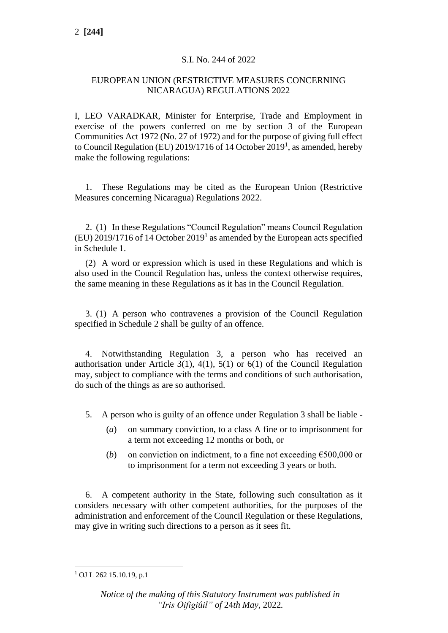### S.I. No. 244 of 2022

### EUROPEAN UNION (RESTRICTIVE MEASURES CONCERNING NICARAGUA) REGULATIONS 2022

I, LEO VARADKAR, Minister for Enterprise, Trade and Employment in exercise of the powers conferred on me by section 3 of the European Communities Act 1972 (No. 27 of 1972) and for the purpose of giving full effect to Council Regulation (EU)  $2019/1716$  of 14 October  $2019<sup>1</sup>$ , as amended, hereby make the following regulations:

1. These Regulations may be cited as the European Union (Restrictive Measures concerning Nicaragua) Regulations 2022.

2. (1) In these Regulations "Council Regulation" means Council Regulation  $(EU)$  2019/1716 of 14 October 2019<sup>1</sup> as amended by the European acts specified in Schedule 1.

(2) A word or expression which is used in these Regulations and which is also used in the Council Regulation has, unless the context otherwise requires, the same meaning in these Regulations as it has in the Council Regulation.

3. (1) A person who contravenes a provision of the Council Regulation specified in Schedule 2 shall be guilty of an offence.

4. Notwithstanding Regulation 3, a person who has received an authorisation under Article 3(1), 4(1), 5(1) or  $6(1)$  of the Council Regulation may, subject to compliance with the terms and conditions of such authorisation, do such of the things as are so authorised.

- 5. A person who is guilty of an offence under Regulation 3 shall be liable
	- (*a*) on summary conviction, to a class A fine or to imprisonment for a term not exceeding 12 months or both, or
	- (*b*) on conviction on indictment, to a fine not exceeding  $\epsilon$ 500,000 or to imprisonment for a term not exceeding 3 years or both.

6. A competent authority in the State, following such consultation as it considers necessary with other competent authorities, for the purposes of the administration and enforcement of the Council Regulation or these Regulations, may give in writing such directions to a person as it sees fit.

 $1$  OJ L 262 15.10.19, p.1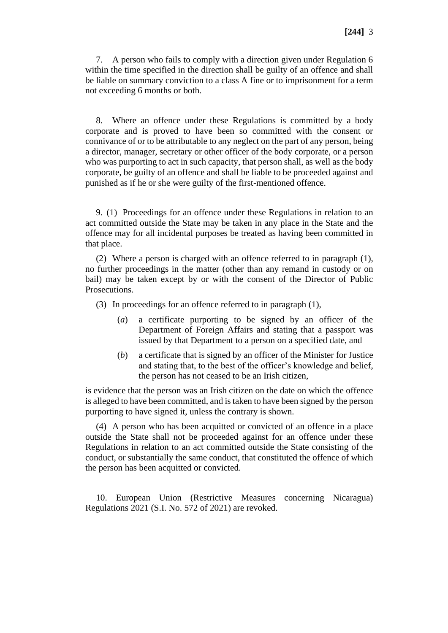7. A person who fails to comply with a direction given under Regulation 6 within the time specified in the direction shall be guilty of an offence and shall be liable on summary conviction to a class A fine or to imprisonment for a term not exceeding 6 months or both.

8. Where an offence under these Regulations is committed by a body corporate and is proved to have been so committed with the consent or connivance of or to be attributable to any neglect on the part of any person, being a director, manager, secretary or other officer of the body corporate, or a person who was purporting to act in such capacity, that person shall, as well as the body corporate, be guilty of an offence and shall be liable to be proceeded against and punished as if he or she were guilty of the first-mentioned offence.

9. (1) Proceedings for an offence under these Regulations in relation to an act committed outside the State may be taken in any place in the State and the offence may for all incidental purposes be treated as having been committed in that place.

(2) Where a person is charged with an offence referred to in paragraph (1), no further proceedings in the matter (other than any remand in custody or on bail) may be taken except by or with the consent of the Director of Public Prosecutions.

- (3) In proceedings for an offence referred to in paragraph (1),
	- (*a*) a certificate purporting to be signed by an officer of the Department of Foreign Affairs and stating that a passport was issued by that Department to a person on a specified date, and
	- (*b*) a certificate that is signed by an officer of the Minister for Justice and stating that, to the best of the officer's knowledge and belief, the person has not ceased to be an Irish citizen,

is evidence that the person was an Irish citizen on the date on which the offence is alleged to have been committed, and is taken to have been signed by the person purporting to have signed it, unless the contrary is shown.

(4) A person who has been acquitted or convicted of an offence in a place outside the State shall not be proceeded against for an offence under these Regulations in relation to an act committed outside the State consisting of the conduct, or substantially the same conduct, that constituted the offence of which the person has been acquitted or convicted.

10. European Union (Restrictive Measures concerning Nicaragua) Regulations 2021 (S.I. No. 572 of 2021) are revoked.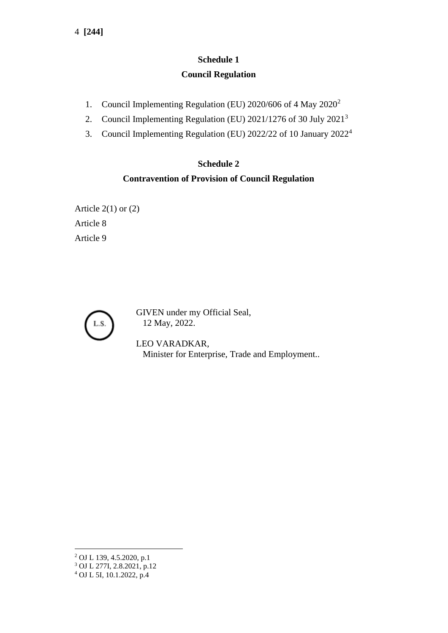# **Schedule 1 Council Regulation**

- 1. Council Implementing Regulation (EU) 2020/606 of 4 May 2020<sup>2</sup>
- 2. Council Implementing Regulation (EU) 2021/1276 of 30 July 2021<sup>3</sup>
- 3. Council Implementing Regulation (EU) 2022/22 of 10 January 2022<sup>4</sup>

## **Schedule 2**

# **Contravention of Provision of Council Regulation**

Article  $2(1)$  or  $(2)$ Article 8 Article 9



GIVEN under my Official Seal, 12 May, 2022.

LEO VARADKAR, Minister for Enterprise, Trade and Employment..

<sup>2</sup> OJ L 139, 4.5.2020, p.1

<sup>3</sup> OJ L 277I, 2.8.2021, p.12

<sup>4</sup> OJ L 5I, 10.1.2022, p.4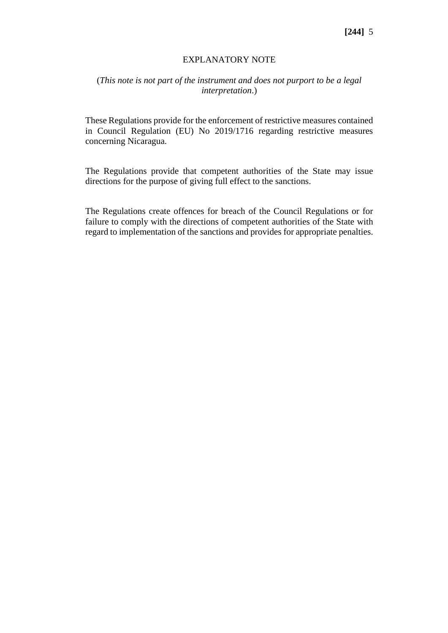#### EXPLANATORY NOTE

### (*This note is not part of the instrument and does not purport to be a legal interpretation*.)

These Regulations provide for the enforcement of restrictive measures contained in Council Regulation (EU) No 2019/1716 regarding restrictive measures concerning Nicaragua.

The Regulations provide that competent authorities of the State may issue directions for the purpose of giving full effect to the sanctions.

The Regulations create offences for breach of the Council Regulations or for failure to comply with the directions of competent authorities of the State with regard to implementation of the sanctions and provides for appropriate penalties.